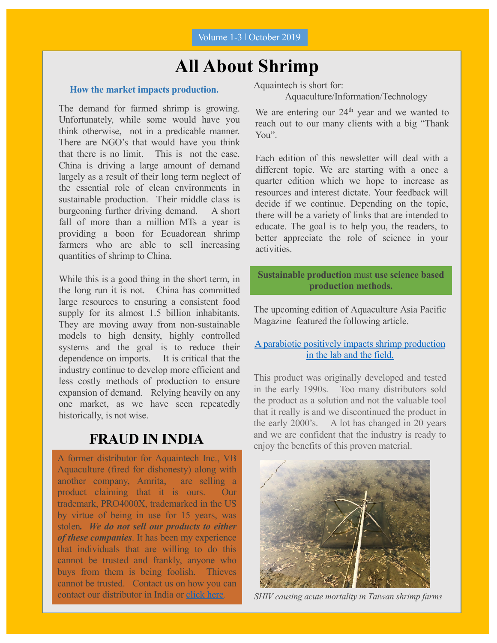### **All About Shrimp**

#### **How the market impacts production.**

The demand for farmed shrimp is growing. Unfortunately, while some would have you think otherwise, not in a predicable manner. There are NGO's that would have you think that there is no limit. This is not the case. China is driving a large amount of demand largely as a result of their long term neglect of the essential role of clean environments in sustainable production. Their middle class is burgeoning further driving demand. A short fall of more than a million MTs a year is providing a boon for Ecuadorean shrimp farmers who are able to sell increasing quantities of shrimp to China.

While this is a good thing in the short term, in the long run it is not. China has committed large resources to ensuring a consistent food supply for its almost 1.5 billion inhabitants. They are moving away from non-sustainable models to high density, highly controlled systems and the goal is to reduce their dependence on imports. It is critical that the industry continue to develop more efficient and less costly methods of production to ensure expansion of demand. Relying heavily on any one market, as we have seen repeatedly historically, is not wise.

### **FRAUD IN INDIA**

A former distributor for Aquaintech Inc., VB Aquaculture (fired for dishonesty) along with another company, Amrita, are selling a product claiming that it is ours. Our trademark, PRO4000X, trademarked in the US by virtue of being in use for 15 years, was stolen*. We do not sell our products to either of these companies*. It has been my experience that individuals that are willing to do this cannot be trusted and frankly, anyone who buys from them is being foolish. Thieves cannot be trusted. Contact us on how you can contact our distributor in India or [click](https://www.bioremediationaquaculture.com/distributors.html) here.

Aquaintech is short for:

Aquaculture/Information/Technology

We are entering our 24<sup>th</sup> year and we wanted to reach out to our many clients with a big "Thank You".

Each edition of this newsletter will deal with a different topic. We are starting with a once a quarter edition which we hope to increase as resources and interest dictate. Your feedback will decide if we continue. Depending on the topic, there will be a variety of links that are intended to educate. The goal is to help you, the readers, to better appreciate the role of science in your activities.

**Sustainable production** must **use science based production methods.**

The upcoming edition of Aquaculture Asia Pacific Magazine featured the following article.

#### [A parabiotic positively impacts shrimp productio](https://www.bioremediationaquaculture.com/links-from-newsletter.html)n in the lab and the field.

This product was originally developed and tested in the early 1990s. Too many distributors sold the product as a solution and not the valuable tool that it really is and we discontinued the product in the early 2000's. A lot has changed in 20 years and we are confident that the industry is ready to enjoy the benefits of this proven material.



*SHIV causing acute mortality in Taiwan shrimp farms*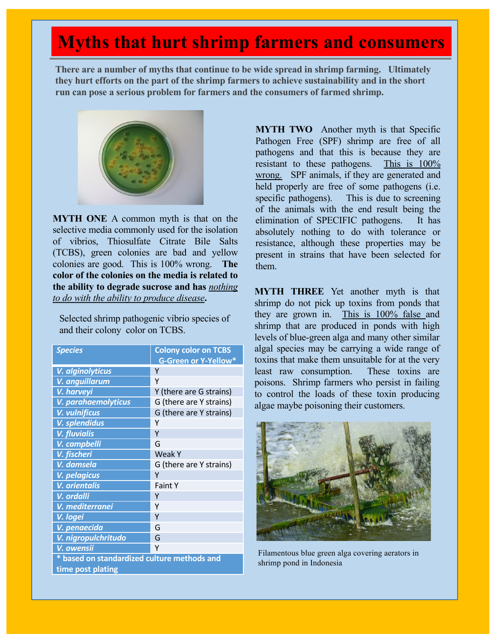# **Myths that hurt shrimp farmers and consumers**

**There are a number of myths that continue to be wide spread in shrimp farming. Ultimately they hurt efforts on the part of the shrimp farmers to achieve sustainability and in the short run can pose a serious problem for farmers and the consumers of farmed shrimp.** 



**MYTH ONE** A common myth is that on the selective media commonly used for the isolation of vibrios, Thiosulfate Citrate Bile Salts (TCBS), green colonies are bad and yellow colonies are good. This is 100% wrong. **The color of the colonies on the media is related to the ability to degrade sucrose and has** *nothing to do with the ability to produce disease***.**

Selected shrimp pathogenic vibrio species of and their colony color on TCBS.

| <b>Species</b>                              | <b>Colony color on TCBS</b> |
|---------------------------------------------|-----------------------------|
|                                             | <b>G-Green or Y-Yellow*</b> |
| V. alginolyticus                            | Y                           |
| V. anguillarum                              | Υ                           |
| V. harveyi                                  | Y (there are G strains)     |
| V. parahaemolyticus                         | G (there are Y strains)     |
| V. vulnificus                               | G (there are Y strains)     |
| V. splendidus                               | γ                           |
| <b>V.</b> fluvialis                         | Y                           |
| V. campbelli                                | G                           |
| V. fischeri                                 | <b>Weak Y</b>               |
| V. damsela                                  | G (there are Y strains)     |
| V. pelagicus                                | Υ                           |
| <b>V.</b> orientalis                        | <b>Faint Y</b>              |
| V. ordalli                                  | γ                           |
| V. mediterran <u>ei</u>                     | Υ                           |
| V. logei                                    | γ                           |
| V. penaecida                                | G                           |
| V. nigropulchritudo                         | G                           |
| V. owensii                                  | Υ                           |
| * based on standardized culture methods and |                             |
| time post plating                           |                             |

**MYTH TWO** Another myth is that Specific Pathogen Free (SPF) shrimp are free of all pathogens and that this is because they are resistant to these pathogens. This is  $100\%$ wrong. SPF animals, if they are generated and held properly are free of some pathogens (i.e. specific pathogens). This is due to screening of the animals with the end result being the elimination of SPECIFIC pathogens. It has absolutely nothing to do with tolerance or resistance, although these properties may be present in strains that have been selected for them.

**MYTH THREE** Yet another myth is that shrimp do not pick up toxins from ponds that they are grown in. This is 100% false and shrimp that are produced in ponds with high levels of blue-green alga and many other similar algal species may be carrying a wide range of toxins that make them unsuitable for at the very least raw consumption. These toxins are poisons. Shrimp farmers who persist in failing to control the loads of these toxin producing algae maybe poisoning their customers.



Filamentous blue green alga covering aerators in shrimp pond in Indonesia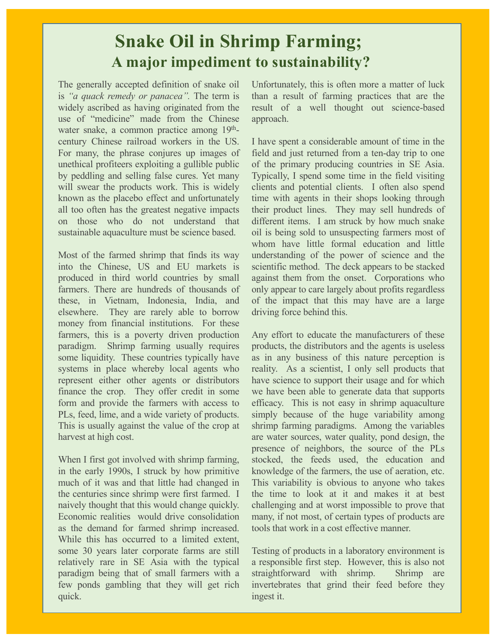## **Snake Oil in Shrimp Farming; A major impediment to sustainability?**

The generally accepted definition of snake oil is *"a quack remedy or panacea".* The term is widely ascribed as having originated from the use of "medicine" made from the Chinese water snake, a common practice among  $19<sup>th</sup>$ century Chinese railroad workers in the US. For many, the phrase conjures up images of unethical profiteers exploiting a gullible public by peddling and selling false cures. Yet many will swear the products work. This is widely known as the placebo effect and unfortunately all too often has the greatest negative impacts on those who do not understand that sustainable aquaculture must be science based.

Most of the farmed shrimp that finds its way into the Chinese, US and EU markets is produced in third world countries by small farmers. There are hundreds of thousands of these, in Vietnam, Indonesia, India, and elsewhere. They are rarely able to borrow money from financial institutions. For these farmers, this is a poverty driven production paradigm. Shrimp farming usually requires some liquidity. These countries typically have systems in place whereby local agents who represent either other agents or distributors finance the crop. They offer credit in some form and provide the farmers with access to PLs, feed, lime, and a wide variety of products. This is usually against the value of the crop at harvest at high cost.

When I first got involved with shrimp farming, in the early 1990s, I struck by how primitive much of it was and that little had changed in the centuries since shrimp were first farmed. I naively thought that this would change quickly. Economic realities would drive consolidation as the demand for farmed shrimp increased. While this has occurred to a limited extent, some 30 years later corporate farms are still relatively rare in SE Asia with the typical paradigm being that of small farmers with a few ponds gambling that they will get rich quick.

Unfortunately, this is often more a matter of luck than a result of farming practices that are the result of a well thought out science-based approach.

I have spent a considerable amount of time in the field and just returned from a ten-day trip to one of the primary producing countries in SE Asia. Typically, I spend some time in the field visiting clients and potential clients. I often also spend time with agents in their shops looking through their product lines. They may sell hundreds of different items. I am struck by how much snake oil is being sold to unsuspecting farmers most of whom have little formal education and little understanding of the power of science and the scientific method. The deck appears to be stacked against them from the onset. Corporations who only appear to care largely about profits regardless of the impact that this may have are a large driving force behind this.

Any effort to educate the manufacturers of these products, the distributors and the agents is useless as in any business of this nature perception is reality. As a scientist, I only sell products that have science to support their usage and for which we have been able to generate data that supports efficacy. This is not easy in shrimp aquaculture simply because of the huge variability among shrimp farming paradigms. Among the variables are water sources, water quality, pond design, the presence of neighbors, the source of the PLs stocked, the feeds used, the education and knowledge of the farmers, the use of aeration, etc. This variability is obvious to anyone who takes the time to look at it and makes it at best challenging and at worst impossible to prove that many, if not most, of certain types of products are tools that work in a cost effective manner.

Testing of products in a laboratory environment is a responsible first step. However, this is also not straightforward with shrimp. Shrimp are invertebrates that grind their feed before they ingest it.